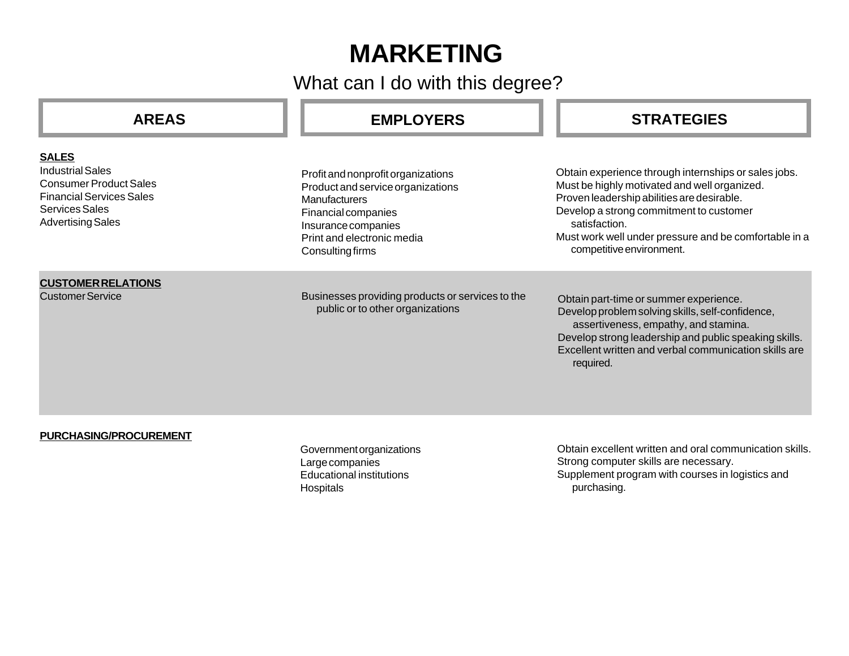# **MARKETING**

What can I do with this degree?

| <b>AREAS</b>                                                                                                                                              | <b>EMPLOYERS</b>                                                                                                                                                                         | <b>STRATEGIES</b>                                                                                                                                                                                                                                                                                   |
|-----------------------------------------------------------------------------------------------------------------------------------------------------------|------------------------------------------------------------------------------------------------------------------------------------------------------------------------------------------|-----------------------------------------------------------------------------------------------------------------------------------------------------------------------------------------------------------------------------------------------------------------------------------------------------|
| <b>SALES</b><br><b>Industrial Sales</b><br><b>Consumer Product Sales</b><br><b>Financial Services Sales</b><br>Services Sales<br><b>Advertising Sales</b> | Profit and nonprofit organizations<br>Product and service organizations<br>Manufacturers<br>Financial companies<br>Insurance companies<br>Print and electronic media<br>Consulting firms | Obtain experience through internships or sales jobs.<br>Must be highly motivated and well organized.<br>Proven leadership abilities are desirable.<br>Develop a strong commitment to customer<br>satisfaction.<br>Must work well under pressure and be comfortable in a<br>competitive environment. |
| <b>CUSTOMER RELATIONS</b><br><b>Customer Service</b>                                                                                                      | Businesses providing products or services to the<br>public or to other organizations                                                                                                     | Obtain part-time or summer experience.<br>Develop problem solving skills, self-confidence,<br>assertiveness, empathy, and stamina.<br>Develop strong leadership and public speaking skills.<br>Excellent written and verbal communication skills are<br>required.                                   |
| PURCHASING/PROCUREMENT                                                                                                                                    | Government organizations<br>Large companies<br><b>Educational institutions</b><br>Hospitals                                                                                              | Obtain excellent written and oral communication skills.<br>Strong computer skills are necessary.<br>Supplement program with courses in logistics and<br>purchasing.                                                                                                                                 |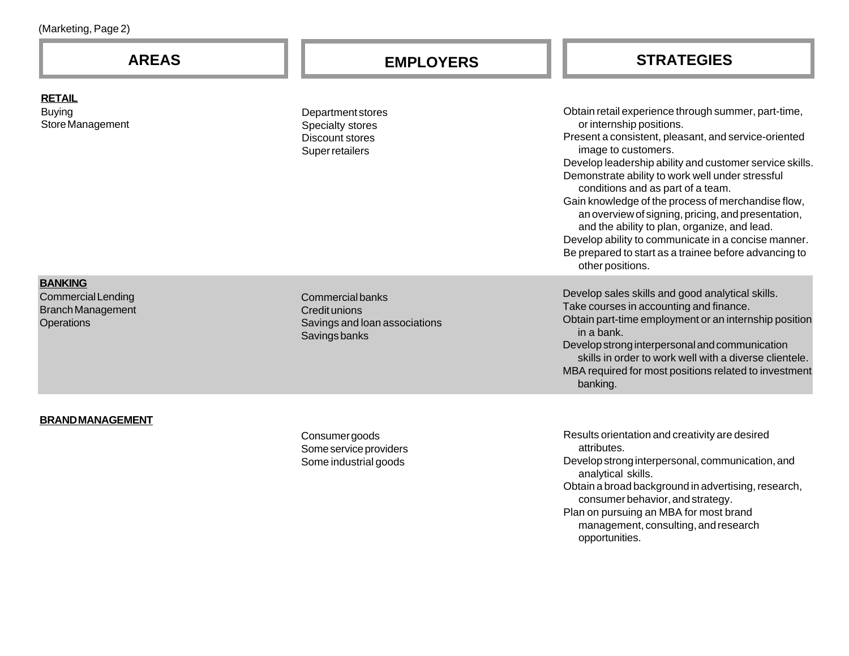| (Marketing, Page 2) |  |
|---------------------|--|
|                     |  |

# **AREAS EMPLOYERS STRATEGIES**

Obtain retail experience through summer, part-time, or internship positions. Present a consistent, pleasant, and service-oriented image to customers. Develop leadership ability and customer service skills. Demonstrate ability to work well under stressful conditions and as part of a team. Gain knowledge of the process of merchandise flow, an overview of signing, pricing, and presentation, and the ability to plan, organize, and lead. Develop ability to communicate in a concise manner. Be prepared to start as a trainee before advancing to other positions. Department stores Specialty stores Discount stores Super retailers Commercial banks Credit unions Savings and loan associations Savings banks Develop sales skills and good analytical skills. Take courses in accounting and finance. Obtain part-time employment or an internship position in a bank. Develop strong interpersonal and communication skills in order to work well with a diverse clientele. MBA required for most positions related to investment banking.

#### **BRAND MANAGEMENT**

**RETAIL**

Buying

Store Management

**BANKING**

**Operations** 

Commercial Lending Branch Management

> Consumer goods Some service providers Some industrial goods

Results orientation and creativity are desired attributes. Develop strong interpersonal, communication, and analytical skills. Obtain a broad background in advertising, research, consumer behavior, and strategy. Plan on pursuing an MBA for most brand management, consulting, and research opportunities.